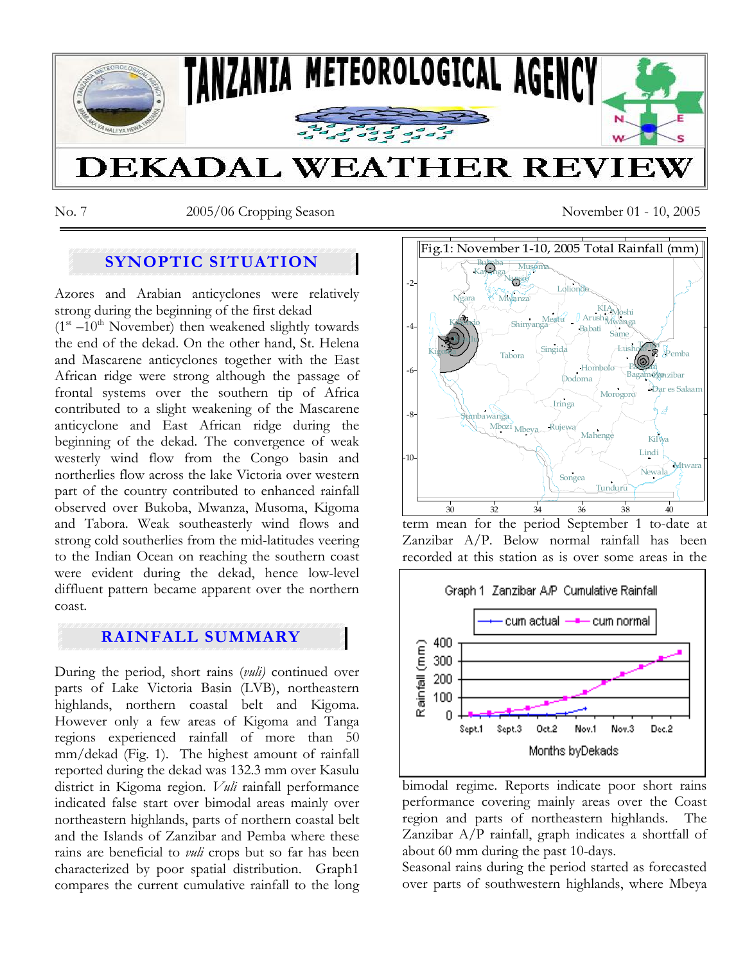

No. 7 2005/06 Cropping Season November 01 - 10, 2005

# **SYNOPTIC SITUATION**

Azores and Arabian anticyclones were relatively strong during the beginning of the first dekad

 $(1<sup>st</sup> -10<sup>th</sup> November)$  then weakened slightly towards the end of the dekad. On the other hand, St. Helena and Mascarene anticyclones together with the East African ridge were strong although the passage of frontal systems over the southern tip of Africa contributed to a slight weakening of the Mascarene anticyclone and East African ridge during the beginning of the dekad. The convergence of weak westerly wind flow from the Congo basin and northerlies flow across the lake Victoria over western part of the country contributed to enhanced rainfall observed over Bukoba, Mwanza, Musoma, Kigoma and Tabora. Weak southeasterly wind flows and strong cold southerlies from the mid-latitudes veering to the Indian Ocean on reaching the southern coast were evident during the dekad, hence low-level diffluent pattern became apparent over the northern coast.

## **RAINFALL SUMMARY**

During the period, short rains (*vuli)* continued over parts of Lake Victoria Basin (LVB), northeastern highlands, northern coastal belt and Kigoma. However only a few areas of Kigoma and Tanga regions experienced rainfall of more than 50 mm/dekad (Fig. 1). The highest amount of rainfall reported during the dekad was 132.3 mm over Kasulu district in Kigoma region. *Vuli* rainfall performance indicated false start over bimodal areas mainly over northeastern highlands, parts of northern coastal belt and the Islands of Zanzibar and Pemba where these rains are beneficial to *vuli* crops but so far has been characterized by poor spatial distribution. Graph1 compares the current cumulative rainfall to the long



term mean for the period September 1 to-date at Zanzibar A/P. Below normal rainfall has been recorded at this station as is over some areas in the



bimodal regime. Reports indicate poor short rains performance covering mainly areas over the Coast region and parts of northeastern highlands. The Zanzibar A/P rainfall, graph indicates a shortfall of about 60 mm during the past 10-days.

Seasonal rains during the period started as forecasted over parts of southwestern highlands, where Mbeya